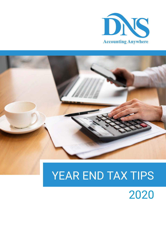



# YEAR END TAX TIPS

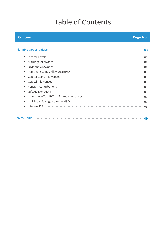# **Table of Contents**

#### **Content Page No.**

| <b>Planning Opportunities</b>                                                                                  | 03 |
|----------------------------------------------------------------------------------------------------------------|----|
| Income Levels                                                                                                  | 03 |
| Marriage Allowance France Construction Construction Construction Construction Construction Construction Constr | 04 |
| Dividend Allowance                                                                                             | 04 |
|                                                                                                                | 05 |
| Capital Gains Allowances                                                                                       | 05 |
| Capital Allowances                                                                                             | 06 |
| <b>Pension Contributions</b>                                                                                   | 06 |
| <b>Gift Aid Donations</b>                                                                                      | 06 |
| Inheritance Tax (IHT) - Lifetime Allowances                                                                    | 07 |
| Individual Savings Accounts (ISAs) Accounts and Saving Construction of the Individual Savings Accounts (ISAs)  | 07 |
| Lifetime ISA                                                                                                   | 08 |
|                                                                                                                |    |
|                                                                                                                |    |

**09 Big Tax Bill?**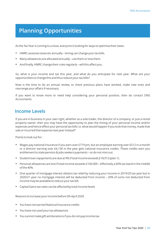### **Planning Opportunities**

As the Tax Year is coming to a close, everyone is looking for ways to optimise their taxes.

- HMRC assesses taxes etc annually timing can change your tax bills.
- Many allowances are allocated annually use them or lose them.
- And finally, HMRC change their rules regularly will this affect you.

So, what is your income and tax this year, and what do you anticipate for next year. What are your opportunities to change this and thus reduce your tax bills?

Now is the time to do an annual review, to check previous plans have worked, make new ones and rearrange your affairs if necessary.

If you want to know more or need help considering your personal position, then do contact DNS Accountants.

#### **Income Levels**

If you are in business in your own right, whether as a sole trader, the director of a company, or just a rental property owner, then you may have the opportunity to plan the timing of your personal income and/or expenses and hence effect your personal tax bills i.e. what would happen if you took that money, made that sale or incurred that expense next year instead?

Points to look out for:

- $\bullet$  Wages pay national insurance if you earn over £719 pm, but an employee earning over £512 in a month or a director earning over £6,136 in the year gets national insurance credits. These credits earn you entitlement to state pension & jobs seekers payments – so do not miss out.
- Student loan repayments are due at 9% if total income exceeds £18,912 (plan 1).
- $\bullet$  Personal allowances are lost if total income exceeds £100,000 effectively a 60% tax band in the middle of the 40%.
- One quarter of mortgage interest obtains tax relief by reducing your income in 2019/20 tax year but in 2020/21 year no mortgage interest will be deducted from income – 20% of sums not deducted from income may be available to reduce your tax bill.
- Capital Gains tax rates can be affected by total income levels

Reasons to increase your income before 5th April 2020

- You have not earned National Insurance credits
- You have not used your tax allowances
- You cannot make gift aid donations if you do not pay income tax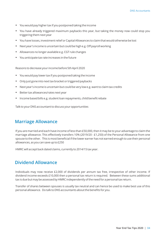- You would pay higher tax if you postponed taking the income
- You have already triggered maximum paybacks this year, but taking the money now could stop you triggering them next year
- You have losses, investment relief or Capital Allowances to claim that would otherwise be lost
- Next year's income is uncertain but could be high e.g. Off payroll working
- Allowances no longer available e.g. CGT rule changes
- You anticipate tax rate increases in the future

Reasons to decrease your income before 5th April 2020

- You would pay lower tax if you postponed taking the income
- Only just gone into next tax bracket or triggered paybacks
- Next year's income is uncertain but could be very low e.g. want to claim tax credits
- Better tax allowances/rates next year
- Income based bills e.g. student loan repayments, child benefit rebate

Talk to your DNS accountant to discuss your opportunities

#### **Marriage Allowance**

If you are married and each have income of less than £50,000, then it may be to your advantage to claim the marriage allowance. This effectively transfers 10% (2019/20 - £1,250) of the Personal Allowance from one spouse to the other. This is most beneficial if the lower earner has not earned enough to use their personal allowances, as you can save up to £250

HMRC will accept back dated claims, currently to 2014/15 tax year.

#### **Dividend Allowance**

Individuals may now receive £2,000 of dividends per annum tax free, irrespective of other income. If dividend income exceeds £10,000 then a personal tax return is required. Between these sums additional tax is due but may be assessed by HMRC independently of the need for a personal tax return.

Transfer of shares between spouses is usually tax neutral and can hence be used to make best use of this personal allowance. Do talk to DNS accountants about the benefits for you.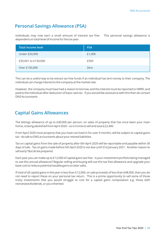#### **Personal Savings Allowance (PSA)**

Individuals may now earn a small amount of interest tax free This personal savings allowance is dependent on total level of income for the tax year.

| <b>Total Income level</b> | <b>PSA</b> |
|---------------------------|------------|
| Under £50,000             | £1,000     |
| £50,001 to £150,000       | £500       |
| Over £150,000             | Zero       |

This can be a useful way to be extract tax free funds if an individual has lent money to their company. The individual can charge interest to the company at the market rate.

However, the company must have had a reason to borrow, and the interest must be reported to HMRC and paid to the individual after deduction of basic rate tax. If you would like assistance with this then do contact DNS Accountants

#### **Capital Gains Allowances**

The lettings allowance of up to £40,000 per person, on sales of property that has once been your main home, is being abolished from April 2020 – so is it time to sell and save £22,400.

From April 2020 most property that you have not lived in for over 9 months, will be subject to capital gains tax - do talk to DNS accountants about your revised liabilities.

Tax on capital gains from the sale of property after 6th April 2020 will be reportable and payable within 30 days of sale. Tax on gains made before 5th April 2020 is not due until 31st January 2021. Another reason to sell early? But do be prepared.

Each year you can make up to £12,000 of capital gains tax free. Is your investment portfolio being managed to use this annual allowance? Regular selling and buying will use this tax free allowance and upgrade your base cost to reduce potential taxable gains on later sales.

If total of all capital gains in the year is less than £12,000, on sale proceeds of less than £48,000, then you do not need to report these on your personal tax return. This is a prime opportunity to sell some of those tricky investments that you would struggle to cost for a capital gains computation e.g. those with reinvested dividends, or you inherited.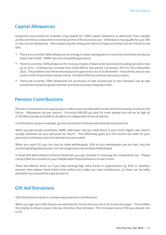#### **Capital Allowances**

Equipment purchased for business may qualify for 100% capital allowance (a deduction from taxable profits and hence a reduction in income) at time of first business use. Otherwise it may qualify for just 18% or less annual allowances. Hence planning the timing and nature of large purchases can be critical for tax bills.

- There are currently 100% allowances for energy or water saving plant or machinery, but these are due to stop in April 2020. HMRC has a list of qualifying products.
- There is currently 100% allowance for most purchases of plant and machinery (including vans & lorries) up to £1m – a temporary increase from £200,000 for the period 1st January 2019 to 31st December 2020. The problem is for those whose business year end is not 31st December – these limits are pro rata so the month of purchase may be critical. Do talk to DNS accountants about your plans.
- There are currently 100% allowances for purchases of new unused low or zero emission cars & new unused zero emission goods vehicles, but these are due to stop April 2021.

### **Pension Contributions**

Pension Contributions are a great way to reduce your tax bills while at the same time saving money for the future. Allowances are per annum - Currently £40,000 pa total for most people but can be as high as £120.000 or as low as £4,000 so do talk to an independent financial advisor.

Contributions via your employer, go into the pension fund tax and national insurance free.

When you personally contribute, HMRC adds basic rate tax relief direct to your fund. Higher rate relief is usually obtained via your personal tax return. This effectively gives you full income tax relief on your personal contribution, but not national insurance relief.

When you reach 55, you can start to make withdrawals; 25% of such withdrawals are tax free, only the remaining being taxed at your normal marginal tax rate at date of withdrawal.

A Small Self-Administered Scheme (SSAS) lets you get involved in choosing the investments too. Please contact DNS Accountants or your Independent Financial Advisor to learn more.

There are lifetime limits so if you have existing high value funds or expectations e.g. NHS or Teachers pension then please check these limits before you make any new contributions, as there can be hefty penalties if you exceed the caps by even £1.

#### **Gift Aid Donations**

Gift-Aid donations work in a similar way to pension contributions.

When you sign up to Gift-Aid you are advising the charity that you are a UK income tax payer. This enables the charity to obtain a basic rate tax refund on that donation. This increases every £100 you donate into £125.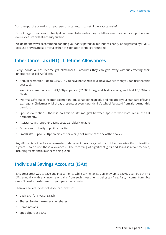You then put the donation on your personal tax return to get higher rate tax relief.

Do not forget donations to charity do not need to be cash – they could be items to a charity shop, shares or even excessive bids at a charity auction.

We do not however recommend donating your anticipated tax refunds to charity, as suggested by HMRC, because if HMRC make a mistake then the donation cannot be refunded.

#### **Inheritance Tax (IHT) - Lifetime Allowances**

Every individual has lifetime gift allowances – amounts they can give away without effecting their inheritance tax bill. As follows: -

- Annual exemption up to £3,000 (if you have not used last years allowance then you can use that this year too).
- Wedding exemption up to £1,000 per person (£2,500 for a grandchild or great grandchild, £5,000 for a child).
- "Normal Gifts out of income" exemption must happen regularly and not affect your standard of living e.g. regular Christmas or birthday presents or even a grandchild's school fees paid from a large monthly pension.
- Spouse exemption there is no limit on lifetime gifts between spouses who both live in the UK permanently.
- Assistance with another's living costs e.g. elderly relative.
- Donations to charity or political parties.
- $\bullet$  Small Gifts up to £250 per recipient per year (if not in receipt of one of the above).

Any gift that is not tax free when made, under one of the above, could incur inheritance tax, if you die within 7 years – so do use these allowances. The recording of significant gifts and loans is recommended, including terms and allowances being used.

#### **Individual Savings Accounts (ISAs)**

ISAs are a great way to save and invest money while saving taxes. Currently up to £20,000 can be put into ISAs annually, with any income or gains from such investments being tax free. Also, income from ISAs doesn't need to be declared on your personal tax return.

There are several types of ISA you can invest in:

- Cash ISA for investing cash
- Shares ISA for new or existing shares
- Combinations
- Special purpose ISAs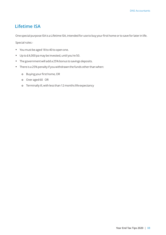#### **Lifetime ISA**

One special purpose ISA is a Lifetime ISA, intended for use to buy your first home or to save for later in life.

Special rules:-

- You must be aged 18 to 40 to open one.
- Up to £4,000 pa may be invested, until you're 50.
- The government will add a 25% bonus to savings deposits.
- There is a 25% penalty if you withdrawn the funds other than when:
	- ¢ Buying your first home, OR
	- ¢ Over aged 60 OR
	- ¢ Terminally ill, with less than 12 months life expectancy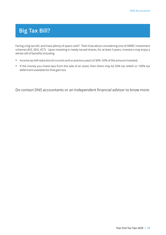## **Big Tax Bill?**

Facing a big tax bill, and have plenty of spare cash? Then how about considering one of HMRC investment schemes (EIS, SEIS, VCT). Upon investing in newly issued shares, for at least 3 years, investors may enjoy a whole raft of benefits including

- Income tax bill reduction (in current and or previous year) of 30% -50% of the amount invested,
- If the money you invest was from the sale of an asset, then there may be 50% tax reliefs or 100% tax deferment available for that gain too

Do contact DNS accountants or an Independent financial advisor to know more.